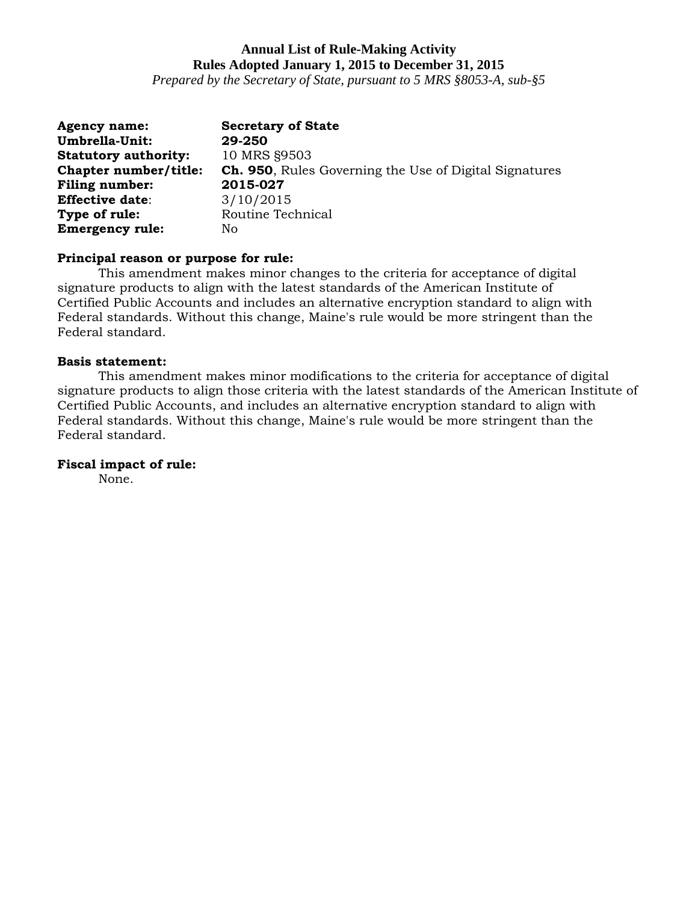*Prepared by the Secretary of State, pursuant to 5 MRS §8053-A, sub-§5*

| <b>Agency name:</b>         | <b>Secretary of State</b>                                     |
|-----------------------------|---------------------------------------------------------------|
| <b>Umbrella-Unit:</b>       | 29-250                                                        |
| <b>Statutory authority:</b> | 10 MRS §9503                                                  |
| Chapter number/title:       | <b>Ch. 950, Rules Governing the Use of Digital Signatures</b> |
| Filing number:              | 2015-027                                                      |
| <b>Effective date:</b>      | 3/10/2015                                                     |
| Type of rule:               | Routine Technical                                             |
| <b>Emergency rule:</b>      | No.                                                           |

## **Principal reason or purpose for rule:**

This amendment makes minor changes to the criteria for acceptance of digital signature products to align with the latest standards of the American Institute of Certified Public Accounts and includes an alternative encryption standard to align with Federal standards. Without this change, Maine's rule would be more stringent than the Federal standard.

### **Basis statement:**

This amendment makes minor modifications to the criteria for acceptance of digital signature products to align those criteria with the latest standards of the American Institute of Certified Public Accounts, and includes an alternative encryption standard to align with Federal standards. Without this change, Maine's rule would be more stringent than the Federal standard.

# **Fiscal impact of rule:**

None.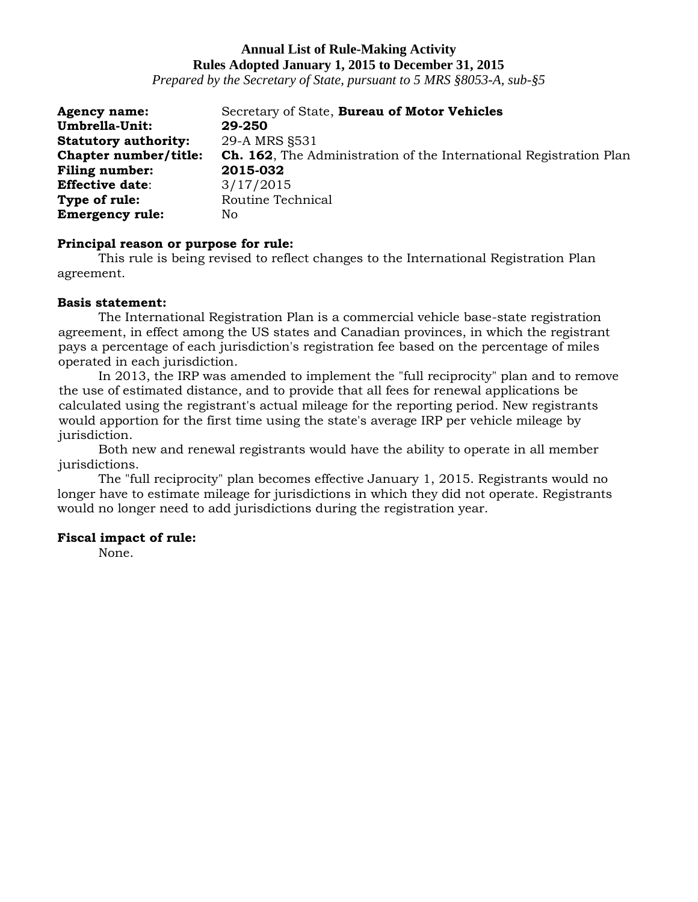*Prepared by the Secretary of State, pursuant to 5 MRS §8053-A, sub-§5*

| <b>Agency name:</b>         | Secretary of State, Bureau of Motor Vehicles                              |
|-----------------------------|---------------------------------------------------------------------------|
| Umbrella-Unit:              | 29-250                                                                    |
| <b>Statutory authority:</b> | 29-A MRS §531                                                             |
| Chapter number/title:       | <b>Ch. 162.</b> The Administration of the International Registration Plan |
| <b>Filing number:</b>       | 2015-032                                                                  |
| <b>Effective date:</b>      | 3/17/2015                                                                 |
| Type of rule:               | Routine Technical                                                         |
| <b>Emergency rule:</b>      | Nο                                                                        |

### **Principal reason or purpose for rule:**

This rule is being revised to reflect changes to the International Registration Plan agreement.

### **Basis statement:**

The International Registration Plan is a commercial vehicle base-state registration agreement, in effect among the US states and Canadian provinces, in which the registrant pays a percentage of each jurisdiction's registration fee based on the percentage of miles operated in each jurisdiction.

In 2013, the IRP was amended to implement the "full reciprocity" plan and to remove the use of estimated distance, and to provide that all fees for renewal applications be calculated using the registrant's actual mileage for the reporting period. New registrants would apportion for the first time using the state's average IRP per vehicle mileage by jurisdiction.

Both new and renewal registrants would have the ability to operate in all member jurisdictions.

The "full reciprocity" plan becomes effective January 1, 2015. Registrants would no longer have to estimate mileage for jurisdictions in which they did not operate. Registrants would no longer need to add jurisdictions during the registration year.

## **Fiscal impact of rule:**

None.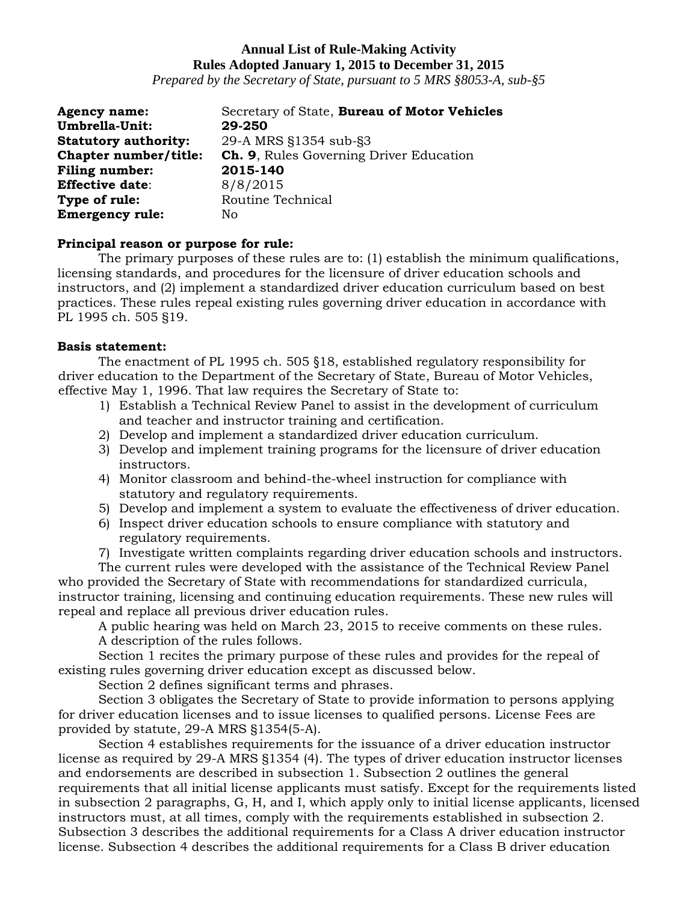*Prepared by the Secretary of State, pursuant to 5 MRS §8053-A, sub-§5*

| <b>Agency name:</b>         | Secretary of State, Bureau of Motor Vehicles   |
|-----------------------------|------------------------------------------------|
| Umbrella-Unit:              | 29-250                                         |
| <b>Statutory authority:</b> | 29-A MRS §1354 sub-§3                          |
| Chapter number/title:       | <b>Ch. 9.</b> Rules Governing Driver Education |
| <b>Filing number:</b>       | 2015-140                                       |
| <b>Effective date:</b>      | 8/8/2015                                       |
| Type of rule:               | Routine Technical                              |
| <b>Emergency rule:</b>      | No                                             |

## **Principal reason or purpose for rule:**

The primary purposes of these rules are to: (1) establish the minimum qualifications, licensing standards, and procedures for the licensure of driver education schools and instructors, and (2) implement a standardized driver education curriculum based on best practices. These rules repeal existing rules governing driver education in accordance with PL 1995 ch. 505 §19.

## **Basis statement:**

The enactment of PL 1995 ch. 505 §18, established regulatory responsibility for driver education to the Department of the Secretary of State, Bureau of Motor Vehicles, effective May 1, 1996. That law requires the Secretary of State to:

- 1) Establish a Technical Review Panel to assist in the development of curriculum and teacher and instructor training and certification.
- 2) Develop and implement a standardized driver education curriculum.
- 3) Develop and implement training programs for the licensure of driver education instructors.
- 4) Monitor classroom and behind-the-wheel instruction for compliance with statutory and regulatory requirements.
- 5) Develop and implement a system to evaluate the effectiveness of driver education.
- 6) Inspect driver education schools to ensure compliance with statutory and regulatory requirements.
- 7) Investigate written complaints regarding driver education schools and instructors.

The current rules were developed with the assistance of the Technical Review Panel who provided the Secretary of State with recommendations for standardized curricula, instructor training, licensing and continuing education requirements. These new rules will repeal and replace all previous driver education rules.

A public hearing was held on March 23, 2015 to receive comments on these rules. A description of the rules follows.

Section 1 recites the primary purpose of these rules and provides for the repeal of existing rules governing driver education except as discussed below.

Section 2 defines significant terms and phrases.

Section 3 obligates the Secretary of State to provide information to persons applying for driver education licenses and to issue licenses to qualified persons. License Fees are provided by statute, 29-A MRS §1354(5-A).

Section 4 establishes requirements for the issuance of a driver education instructor license as required by 29-A MRS §1354 (4). The types of driver education instructor licenses and endorsements are described in subsection 1. Subsection 2 outlines the general requirements that all initial license applicants must satisfy. Except for the requirements listed in subsection 2 paragraphs, G, H, and I, which apply only to initial license applicants, licensed instructors must, at all times, comply with the requirements established in subsection 2. Subsection 3 describes the additional requirements for a Class A driver education instructor license. Subsection 4 describes the additional requirements for a Class B driver education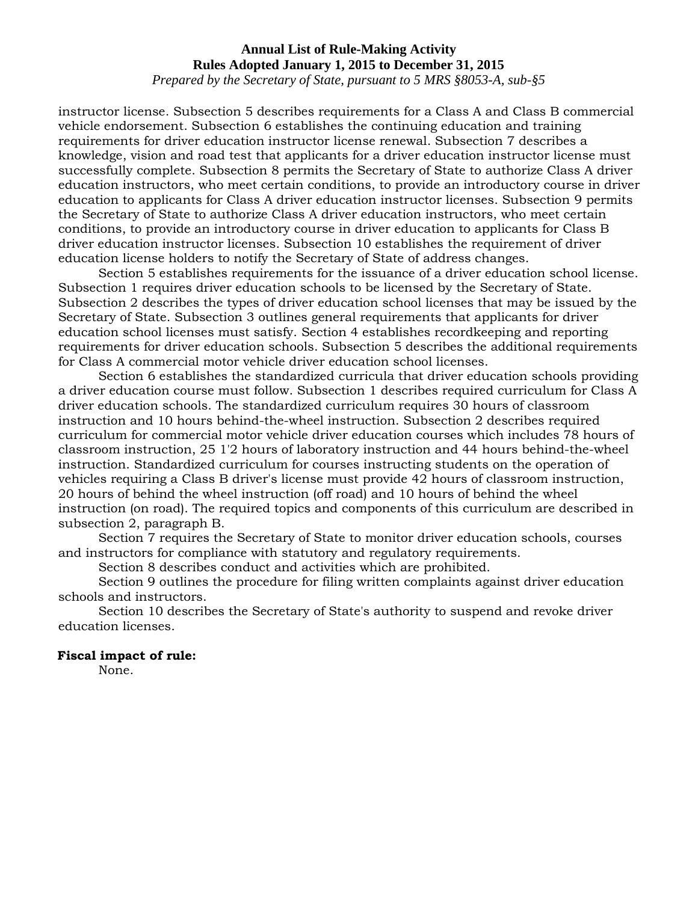*Prepared by the Secretary of State, pursuant to 5 MRS §8053-A, sub-§5*

instructor license. Subsection 5 describes requirements for a Class A and Class B commercial vehicle endorsement. Subsection 6 establishes the continuing education and training requirements for driver education instructor license renewal. Subsection 7 describes a knowledge, vision and road test that applicants for a driver education instructor license must successfully complete. Subsection 8 permits the Secretary of State to authorize Class A driver education instructors, who meet certain conditions, to provide an introductory course in driver education to applicants for Class A driver education instructor licenses. Subsection 9 permits the Secretary of State to authorize Class A driver education instructors, who meet certain conditions, to provide an introductory course in driver education to applicants for Class B driver education instructor licenses. Subsection 10 establishes the requirement of driver education license holders to notify the Secretary of State of address changes.

Section 5 establishes requirements for the issuance of a driver education school license. Subsection 1 requires driver education schools to be licensed by the Secretary of State. Subsection 2 describes the types of driver education school licenses that may be issued by the Secretary of State. Subsection 3 outlines general requirements that applicants for driver education school licenses must satisfy. Section 4 establishes recordkeeping and reporting requirements for driver education schools. Subsection 5 describes the additional requirements for Class A commercial motor vehicle driver education school licenses.

Section 6 establishes the standardized curricula that driver education schools providing a driver education course must follow. Subsection 1 describes required curriculum for Class A driver education schools. The standardized curriculum requires 30 hours of classroom instruction and 10 hours behind-the-wheel instruction. Subsection 2 describes required curriculum for commercial motor vehicle driver education courses which includes 78 hours of classroom instruction, 25 1'2 hours of laboratory instruction and 44 hours behind-the-wheel instruction. Standardized curriculum for courses instructing students on the operation of vehicles requiring a Class B driver's license must provide 42 hours of classroom instruction, 20 hours of behind the wheel instruction (off road) and 10 hours of behind the wheel instruction (on road). The required topics and components of this curriculum are described in subsection 2, paragraph B.

Section 7 requires the Secretary of State to monitor driver education schools, courses and instructors for compliance with statutory and regulatory requirements.

Section 8 describes conduct and activities which are prohibited.

Section 9 outlines the procedure for filing written complaints against driver education schools and instructors.

Section 10 describes the Secretary of State's authority to suspend and revoke driver education licenses.

### **Fiscal impact of rule:**

None.